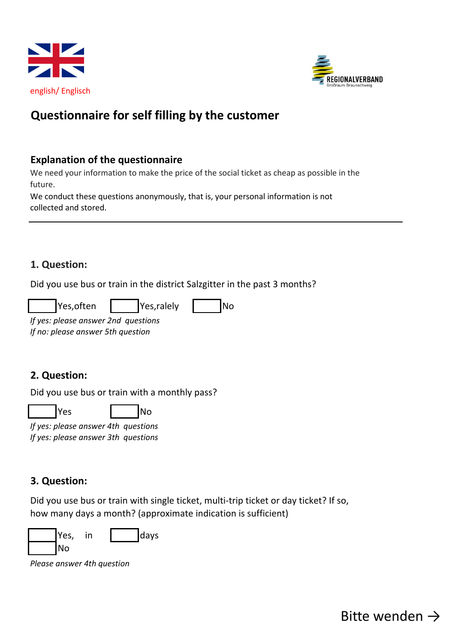



# **Questionnaire for self filling by the customer**

#### **Explanation of the questionnaire**

We need your information to make the price of the social ticket as cheap as possible in the future.

We conduct these questions anonymously, that is, your personal information is not collected and stored.

#### **1. Question:**

Did you use bus or train in the district Salzgitter in the past 3 months?

| Yes, often | Yes, ralely | lNo |
|------------|-------------|-----|
|            |             |     |

*If yes: please answer 2nd questions If no: please answer 5th question*

## **2. Question:**

Did you use bus or train with a monthly pass?

Yes No

*If yes: please answer 4th questions If yes: please answer 3th questions*

## **3. Question:**

Did you use bus or train with single ticket, multi-trip ticket or day ticket? If so, how many days a month? (approximate indication is sufficient)



*Please answer 4th question*